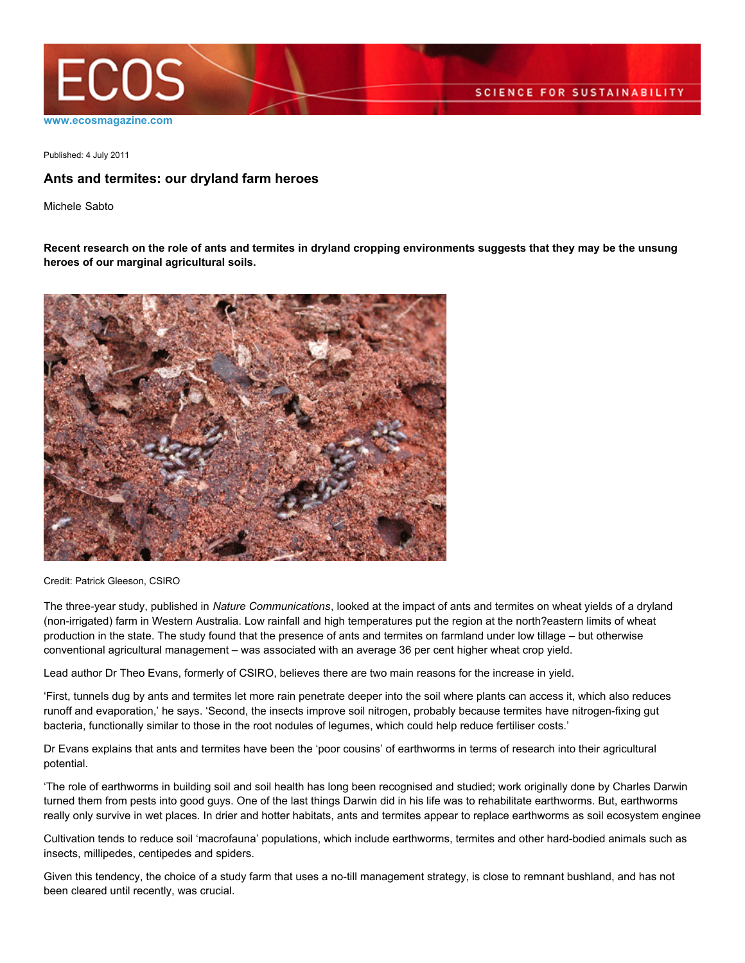

Published: 4 July 2011

## **Ants and termites: our dryland farm heroes**

Michele Sabto

**Recent research on the role of ants and termites in dryland cropping environments suggests that they may be the unsung heroes of our marginal agricultural soils.**



Credit: Patrick Gleeson, CSIRO

The three-year study, published in *Nature Communications*, looked at the impact of ants and termites on wheat yields of a dryland (non-irrigated) farm in Western Australia. Low rainfall and high temperatures put the region at the north?eastern limits of wheat production in the state. The study found that the presence of ants and termites on farmland under low tillage – but otherwise conventional agricultural management – was associated with an average 36 per cent higher wheat crop yield.

Lead author Dr Theo Evans, formerly of CSIRO, believes there are two main reasons for the increase in yield.

'First, tunnels dug by ants and termites let more rain penetrate deeper into the soil where plants can access it, which also reduces runoff and evaporation,' he says. 'Second, the insects improve soil nitrogen, probably because termites have nitrogen-fixing gut bacteria, functionally similar to those in the root nodules of legumes, which could help reduce fertiliser costs.'

Dr Evans explains that ants and termites have been the 'poor cousins' of earthworms in terms of research into their agricultural potential.

'The role of earthworms in building soil and soil health has long been recognised and studied; work originally done by Charles Darwin turned them from pests into good guys. One of the last things Darwin did in his life was to rehabilitate earthworms. But, earthworms really only survive in wet places. In drier and hotter habitats, ants and termites appear to replace earthworms as soil ecosystem enginee

Cultivation tends to reduce soil 'macrofauna' populations, which include earthworms, termites and other hard-bodied animals such as insects, millipedes, centipedes and spiders.

Given this tendency, the choice of a study farm that uses a no-till management strategy, is close to remnant bushland, and has not been cleared until recently, was crucial.